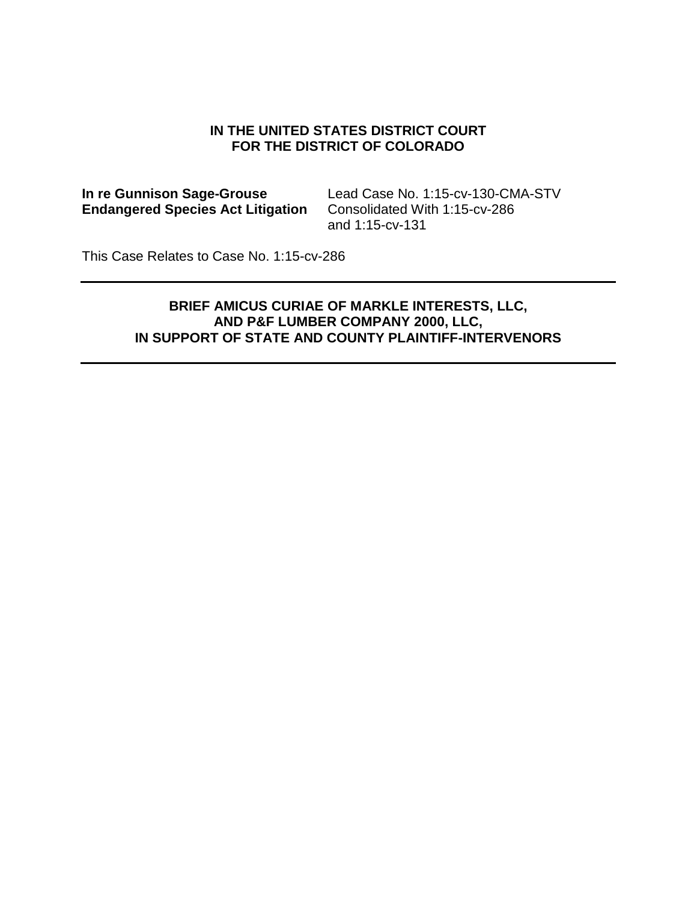#### **IN THE UNITED STATES DISTRICT COURT FOR THE DISTRICT OF COLORADO**

**Endangered Species Act Litigation** 

**In re Gunnison Sage-Grouse** Lead Case No. 1:15-cv-130-CMA-STV<br> **Endangered Species Act Litigation** Consolidated With 1:15-cv-286 and 1:15-cv-131

This Case Relates to Case No. 1:15-cv-286

## **BRIEF AMICUS CURIAE OF MARKLE INTERESTS, LLC, AND P&F LUMBER COMPANY 2000, LLC, IN SUPPORT OF STATE AND COUNTY PLAINTIFF-INTERVENORS**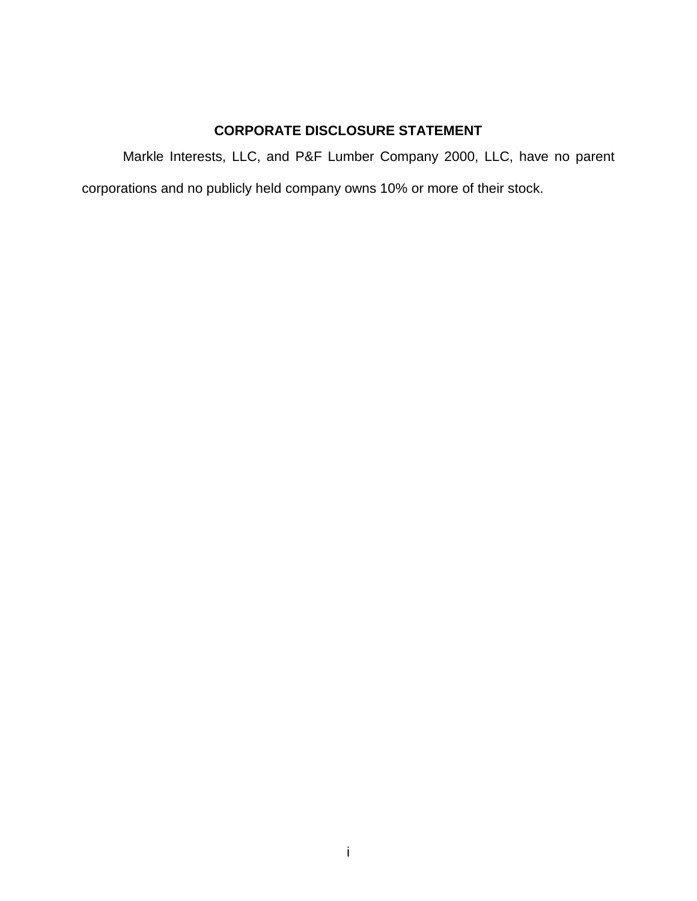## **CORPORATE DISCLOSURE STATEMENT**

Markle Interests, LLC, and P&F Lumber Company 2000, LLC, have no parent

corporations and no publicly held company owns 10% or more of their stock.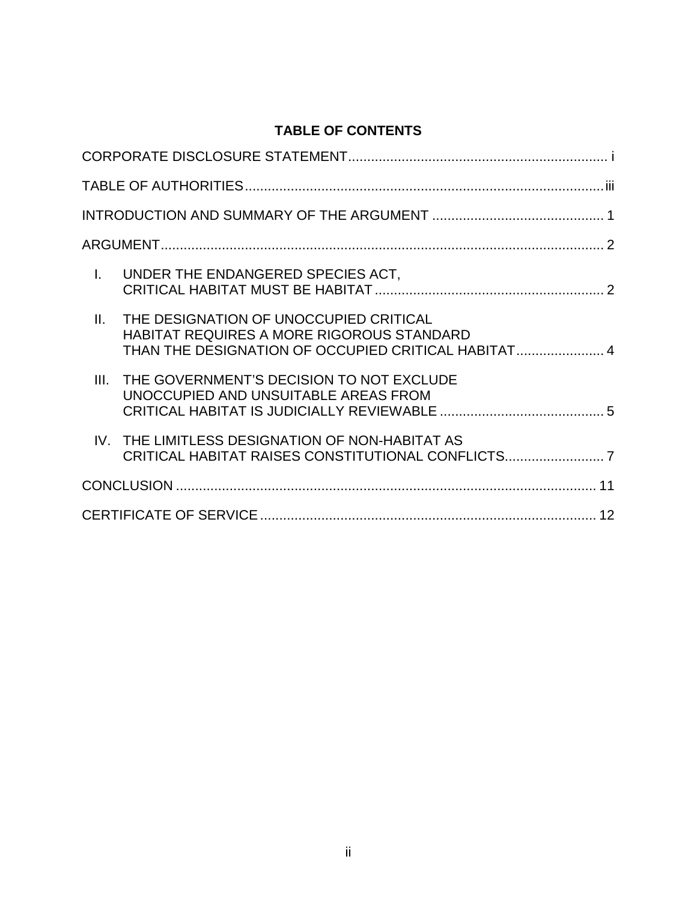# **TABLE OF CONTENTS**

| L.   | UNDER THE ENDANGERED SPECIES ACT,                                                                                                                 |  |  |  |
|------|---------------------------------------------------------------------------------------------------------------------------------------------------|--|--|--|
| Ш.   | THE DESIGNATION OF UNOCCUPIED CRITICAL<br><b>HABITAT REQUIRES A MORE RIGOROUS STANDARD</b><br>THAN THE DESIGNATION OF OCCUPIED CRITICAL HABITAT 4 |  |  |  |
| III. | THE GOVERNMENT'S DECISION TO NOT EXCLUDE<br>UNOCCUPIED AND UNSUITABLE AREAS FROM                                                                  |  |  |  |
|      | IV. THE LIMITLESS DESIGNATION OF NON-HABITAT AS<br>CRITICAL HABITAT RAISES CONSTITUTIONAL CONFLICTS7                                              |  |  |  |
|      |                                                                                                                                                   |  |  |  |
|      |                                                                                                                                                   |  |  |  |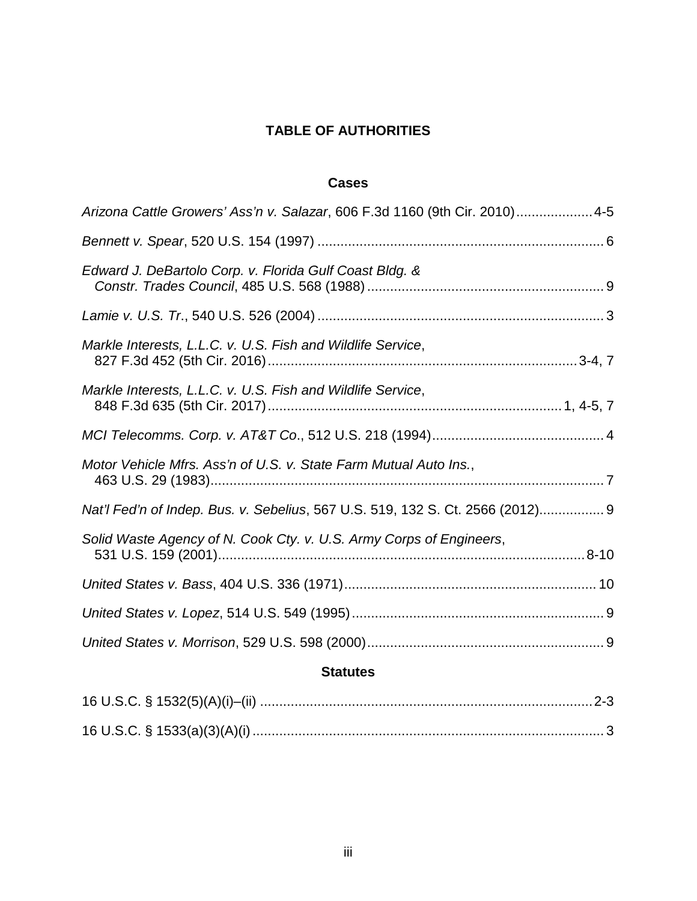## **TABLE OF AUTHORITIES**

#### **Cases**

| Arizona Cattle Growers' Ass'n v. Salazar, 606 F.3d 1160 (9th Cir. 2010) 4-5    |  |  |
|--------------------------------------------------------------------------------|--|--|
|                                                                                |  |  |
| Edward J. DeBartolo Corp. v. Florida Gulf Coast Bldg. &                        |  |  |
|                                                                                |  |  |
| Markle Interests, L.L.C. v. U.S. Fish and Wildlife Service,                    |  |  |
| Markle Interests, L.L.C. v. U.S. Fish and Wildlife Service,                    |  |  |
|                                                                                |  |  |
| Motor Vehicle Mfrs. Ass'n of U.S. v. State Farm Mutual Auto Ins.,              |  |  |
| Nat'l Fed'n of Indep. Bus. v. Sebelius, 567 U.S. 519, 132 S. Ct. 2566 (2012) 9 |  |  |
| Solid Waste Agency of N. Cook Cty. v. U.S. Army Corps of Engineers,            |  |  |
|                                                                                |  |  |
|                                                                                |  |  |
|                                                                                |  |  |
| <b>Statutes</b>                                                                |  |  |
|                                                                                |  |  |

16 U.S.C. § 1533(a)(3)(A)(i)............................................................................................ 3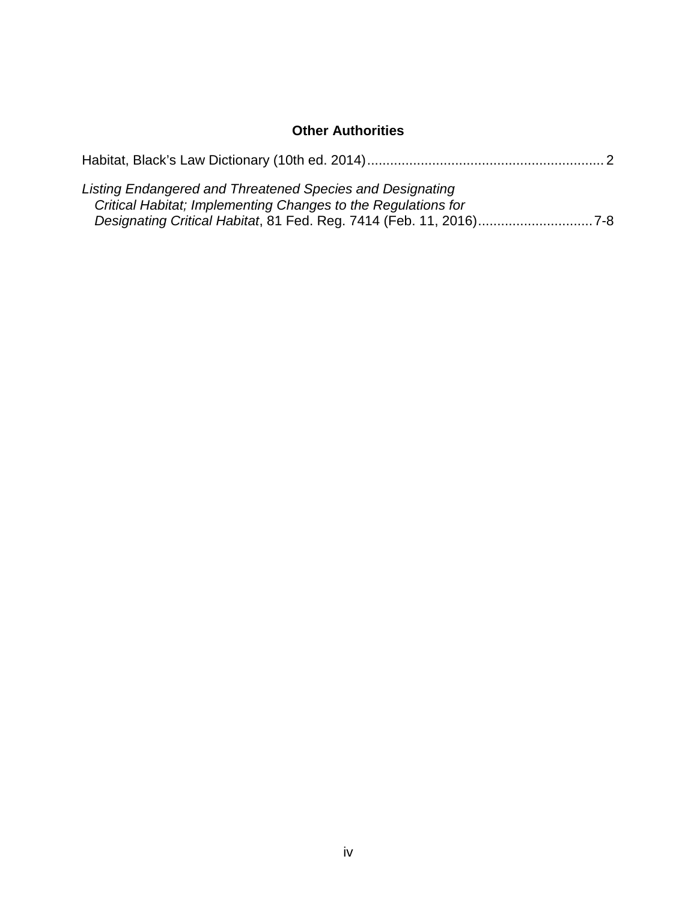## **Other Authorities**

| Listing Endangered and Threatened Species and Designating<br>Critical Habitat; Implementing Changes to the Regulations for<br>Designating Critical Habitat, 81 Fed. Reg. 7414 (Feb. 11, 2016)7-8 |  |
|--------------------------------------------------------------------------------------------------------------------------------------------------------------------------------------------------|--|
|                                                                                                                                                                                                  |  |
|                                                                                                                                                                                                  |  |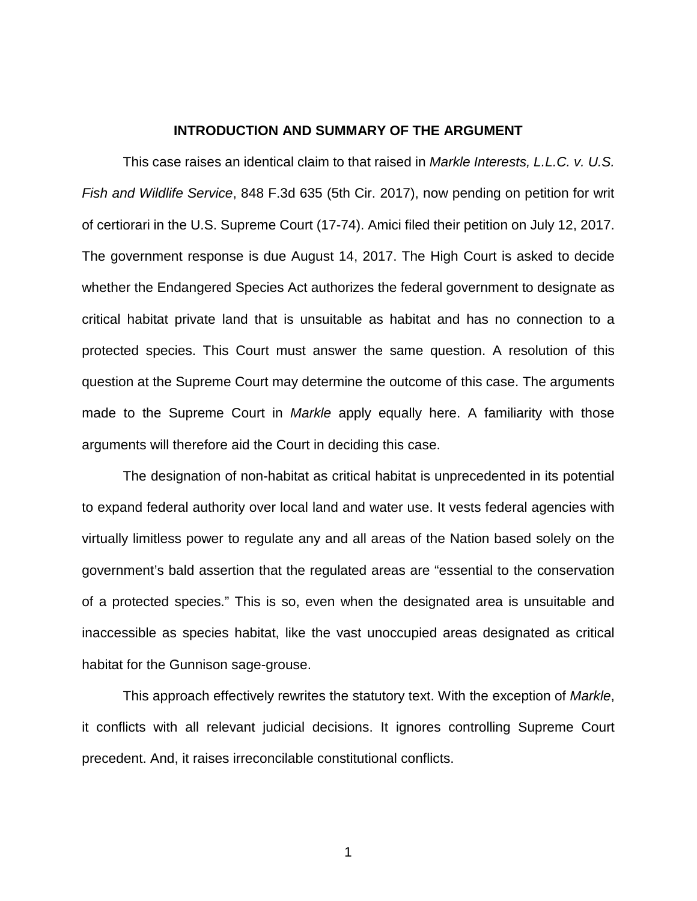#### **INTRODUCTION AND SUMMARY OF THE ARGUMENT**

This case raises an identical claim to that raised in *Markle Interests, L.L.C. v. U.S. Fish and Wildlife Service*, 848 F.3d 635 (5th Cir. 2017), now pending on petition for writ of certiorari in the U.S. Supreme Court (17-74). Amici filed their petition on July 12, 2017. The government response is due August 14, 2017. The High Court is asked to decide whether the Endangered Species Act authorizes the federal government to designate as critical habitat private land that is unsuitable as habitat and has no connection to a protected species. This Court must answer the same question. A resolution of this question at the Supreme Court may determine the outcome of this case. The arguments made to the Supreme Court in *Markle* apply equally here. A familiarity with those arguments will therefore aid the Court in deciding this case.

The designation of non-habitat as critical habitat is unprecedented in its potential to expand federal authority over local land and water use. It vests federal agencies with virtually limitless power to regulate any and all areas of the Nation based solely on the government's bald assertion that the regulated areas are "essential to the conservation of a protected species." This is so, even when the designated area is unsuitable and inaccessible as species habitat, like the vast unoccupied areas designated as critical habitat for the Gunnison sage-grouse.

This approach effectively rewrites the statutory text. With the exception of *Markle*, it conflicts with all relevant judicial decisions. It ignores controlling Supreme Court precedent. And, it raises irreconcilable constitutional conflicts.

1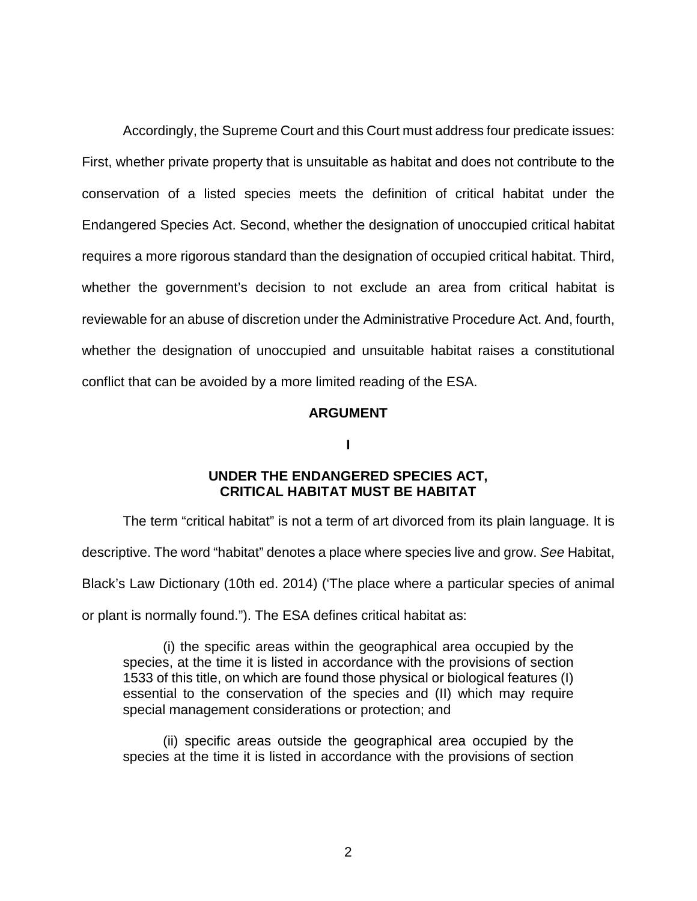Accordingly, the Supreme Court and this Court must address four predicate issues: First, whether private property that is unsuitable as habitat and does not contribute to the conservation of a listed species meets the definition of critical habitat under the Endangered Species Act. Second, whether the designation of unoccupied critical habitat requires a more rigorous standard than the designation of occupied critical habitat. Third, whether the government's decision to not exclude an area from critical habitat is reviewable for an abuse of discretion under the Administrative Procedure Act. And, fourth, whether the designation of unoccupied and unsuitable habitat raises a constitutional conflict that can be avoided by a more limited reading of the ESA.

#### **ARGUMENT**

**I**

### **UNDER THE ENDANGERED SPECIES ACT, CRITICAL HABITAT MUST BE HABITAT**

The term "critical habitat" is not a term of art divorced from its plain language. It is

descriptive. The word "habitat" denotes a place where species live and grow. *See* Habitat,

Black's Law Dictionary (10th ed. 2014) ('The place where a particular species of animal

or plant is normally found."). The ESA defines critical habitat as:

(i) the specific areas within the geographical area occupied by the species, at the time it is listed in accordance with the provisions of section 1533 of this title, on which are found those physical or biological features (I) essential to the conservation of the species and (II) which may require special management considerations or protection; and

(ii) specific areas outside the geographical area occupied by the species at the time it is listed in accordance with the provisions of section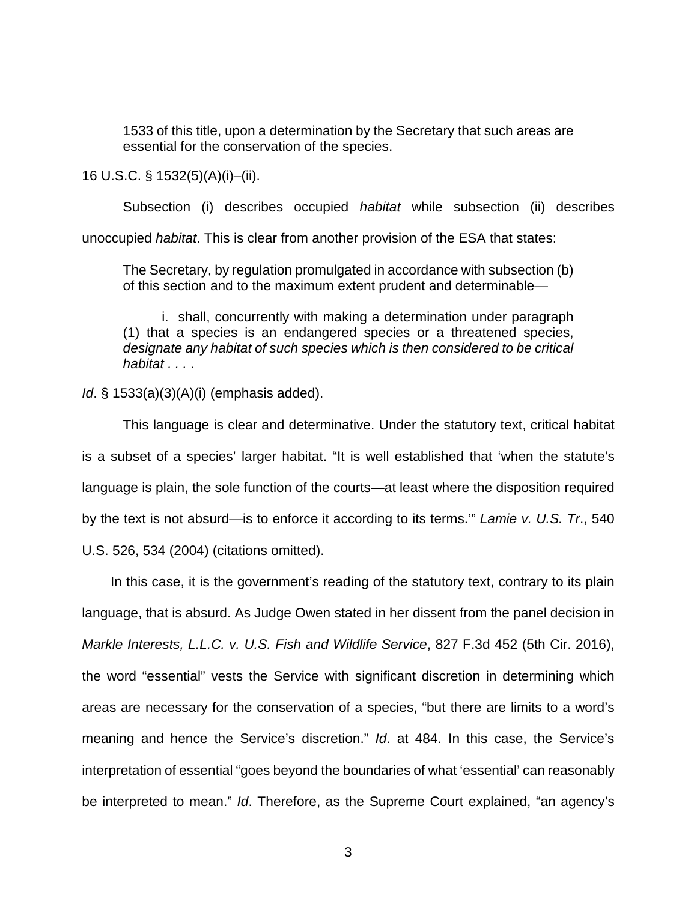1533 of this title, upon a determination by the Secretary that such areas are essential for the conservation of the species.

16 U.S.C. § 1532(5)(A)(i)–(ii).

Subsection (i) describes occupied *habitat* while subsection (ii) describes unoccupied *habitat*. This is clear from another provision of the ESA that states:

The Secretary, by regulation promulgated in accordance with subsection (b) of this section and to the maximum extent prudent and determinable—

i. shall, concurrently with making a determination under paragraph (1) that a species is an endangered species or a threatened species, *designate any habitat of such species which is then considered to be critical habitat . . .* .

*Id*. § 1533(a)(3)(A)(i) (emphasis added).

This language is clear and determinative. Under the statutory text, critical habitat is a subset of a species' larger habitat. "It is well established that 'when the statute's language is plain, the sole function of the courts—at least where the disposition required by the text is not absurd—is to enforce it according to its terms.'" *Lamie v. U.S. Tr*., 540 U.S. 526, 534 (2004) (citations omitted).

In this case, it is the government's reading of the statutory text, contrary to its plain language, that is absurd. As Judge Owen stated in her dissent from the panel decision in *Markle Interests, L.L.C. v. U.S. Fish and Wildlife Service*, 827 F.3d 452 (5th Cir. 2016), the word "essential" vests the Service with significant discretion in determining which areas are necessary for the conservation of a species, "but there are limits to a word's meaning and hence the Service's discretion." *Id*. at 484. In this case, the Service's interpretation of essential "goes beyond the boundaries of what 'essential' can reasonably be interpreted to mean." *Id*. Therefore, as the Supreme Court explained, "an agency's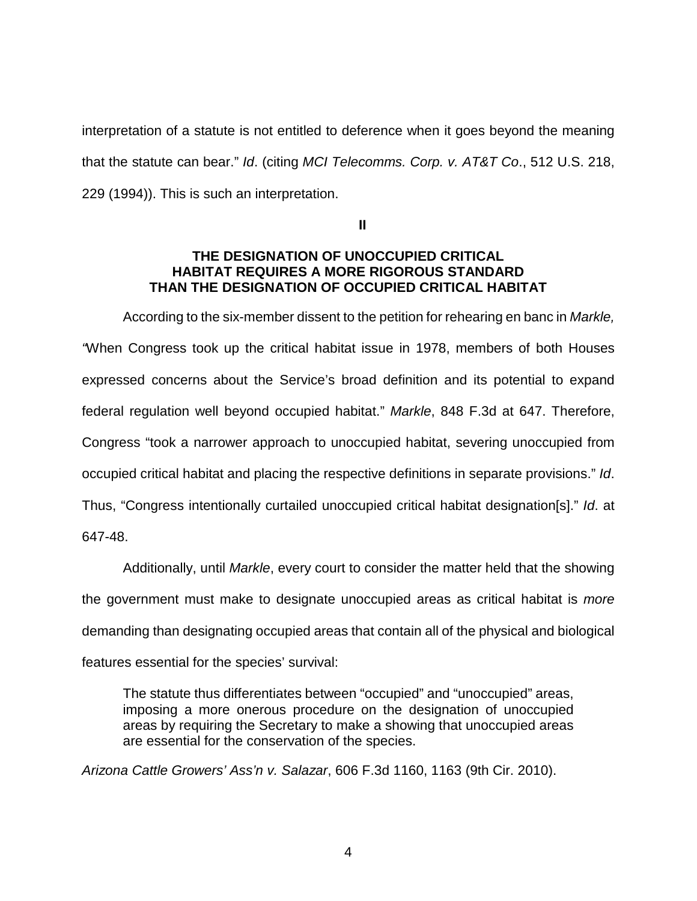interpretation of a statute is not entitled to deference when it goes beyond the meaning that the statute can bear." *Id*. (citing *MCI Telecomms. Corp. v. AT&T Co*., 512 U.S. 218, 229 (1994)). This is such an interpretation.

**II**

### **THE DESIGNATION OF UNOCCUPIED CRITICAL HABITAT REQUIRES A MORE RIGOROUS STANDARD THAN THE DESIGNATION OF OCCUPIED CRITICAL HABITAT**

According to the six-member dissent to the petition for rehearing en banc in *Markle, "*When Congress took up the critical habitat issue in 1978, members of both Houses expressed concerns about the Service's broad definition and its potential to expand federal regulation well beyond occupied habitat." *Markle*, 848 F.3d at 647. Therefore, Congress "took a narrower approach to unoccupied habitat, severing unoccupied from occupied critical habitat and placing the respective definitions in separate provisions." *Id*. Thus, "Congress intentionally curtailed unoccupied critical habitat designation[s]." *Id*. at 647-48.

Additionally, until *Markle*, every court to consider the matter held that the showing the government must make to designate unoccupied areas as critical habitat is *more* demanding than designating occupied areas that contain all of the physical and biological features essential for the species' survival:

The statute thus differentiates between "occupied" and "unoccupied" areas, imposing a more onerous procedure on the designation of unoccupied areas by requiring the Secretary to make a showing that unoccupied areas are essential for the conservation of the species.

*Arizona Cattle Growers' Ass'n v. Salazar*, 606 F.3d 1160, 1163 (9th Cir. 2010).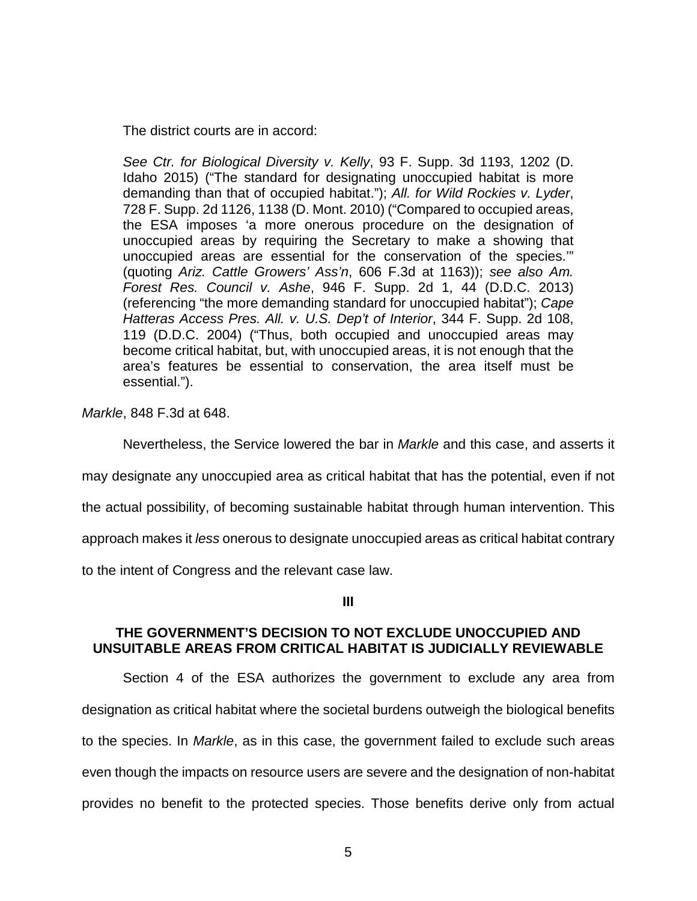The district courts are in accord:

*See Ctr. for Biological Diversity v. Kelly*, 93 F. Supp. 3d 1193, 1202 (D. Idaho 2015) ("The standard for designating unoccupied habitat is more demanding than that of occupied habitat."); *All. for Wild Rockies v. Lyder*, 728 F. Supp. 2d 1126, 1138 (D. Mont. 2010) ("Compared to occupied areas, the ESA imposes 'a more onerous procedure on the designation of unoccupied areas by requiring the Secretary to make a showing that unoccupied areas are essential for the conservation of the species.'" (quoting *Ariz. Cattle Growers' Ass'n*, 606 F.3d at 1163)); *see also Am. Forest Res. Council v. Ashe*, 946 F. Supp. 2d 1, 44 (D.D.C. 2013) (referencing "the more demanding standard for unoccupied habitat"); *Cape Hatteras Access Pres. All. v. U.S. Dep't of Interior*, 344 F. Supp. 2d 108, 119 (D.D.C. 2004) ("Thus, both occupied and unoccupied areas may become critical habitat, but, with unoccupied areas, it is not enough that the area's features be essential to conservation, the area itself must be essential.").

*Markle*, 848 F.3d at 648.

Nevertheless, the Service lowered the bar in *Markle* and this case, and asserts it

may designate any unoccupied area as critical habitat that has the potential, even if not

the actual possibility, of becoming sustainable habitat through human intervention. This

approach makes it *less* onerous to designate unoccupied areas as critical habitat contrary

to the intent of Congress and the relevant case law.

**III**

### **THE GOVERNMENT'S DECISION TO NOT EXCLUDE UNOCCUPIED AND UNSUITABLE AREAS FROM CRITICAL HABITAT IS JUDICIALLY REVIEWABLE**

Section 4 of the ESA authorizes the government to exclude any area from designation as critical habitat where the societal burdens outweigh the biological benefits to the species. In *Markle*, as in this case, the government failed to exclude such areas even though the impacts on resource users are severe and the designation of non-habitat provides no benefit to the protected species. Those benefits derive only from actual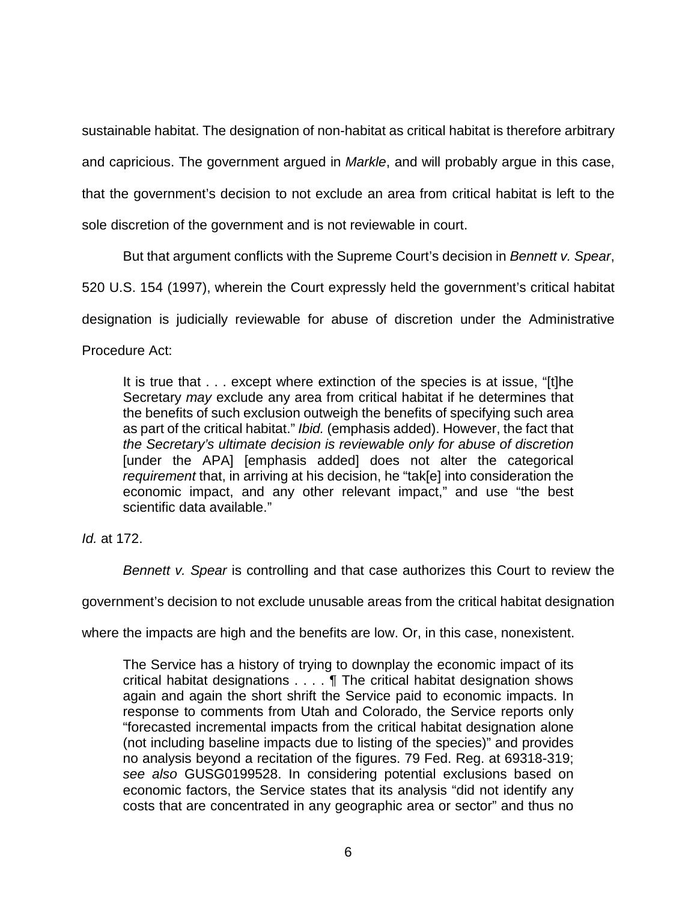sustainable habitat. The designation of non-habitat as critical habitat is therefore arbitrary and capricious. The government argued in *Markle*, and will probably argue in this case,

that the government's decision to not exclude an area from critical habitat is left to the

sole discretion of the government and is not reviewable in court.

But that argument conflicts with the Supreme Court's decision in *Bennett v. Spear*,

520 U.S. 154 (1997), wherein the Court expressly held the government's critical habitat

designation is judicially reviewable for abuse of discretion under the Administrative

Procedure Act:

It is true that . . . except where extinction of the species is at issue, "[t]he Secretary *may* exclude any area from critical habitat if he determines that the benefits of such exclusion outweigh the benefits of specifying such area as part of the critical habitat." *Ibid.* (emphasis added). However, the fact that *the Secretary's ultimate decision is reviewable only for abuse of discretion* [under the APA] [emphasis added] does not alter the categorical *requirement* that, in arriving at his decision, he "tak[e] into consideration the economic impact, and any other relevant impact," and use "the best scientific data available."

*Id.* at 172.

*Bennett v. Spear* is controlling and that case authorizes this Court to review the

government's decision to not exclude unusable areas from the critical habitat designation

where the impacts are high and the benefits are low. Or, in this case, nonexistent.

The Service has a history of trying to downplay the economic impact of its critical habitat designations . . . . ¶ The critical habitat designation shows again and again the short shrift the Service paid to economic impacts. In response to comments from Utah and Colorado, the Service reports only "forecasted incremental impacts from the critical habitat designation alone (not including baseline impacts due to listing of the species)" and provides no analysis beyond a recitation of the figures. 79 Fed. Reg. at 69318-319; *see also* GUSG0199528. In considering potential exclusions based on economic factors, the Service states that its analysis "did not identify any costs that are concentrated in any geographic area or sector" and thus no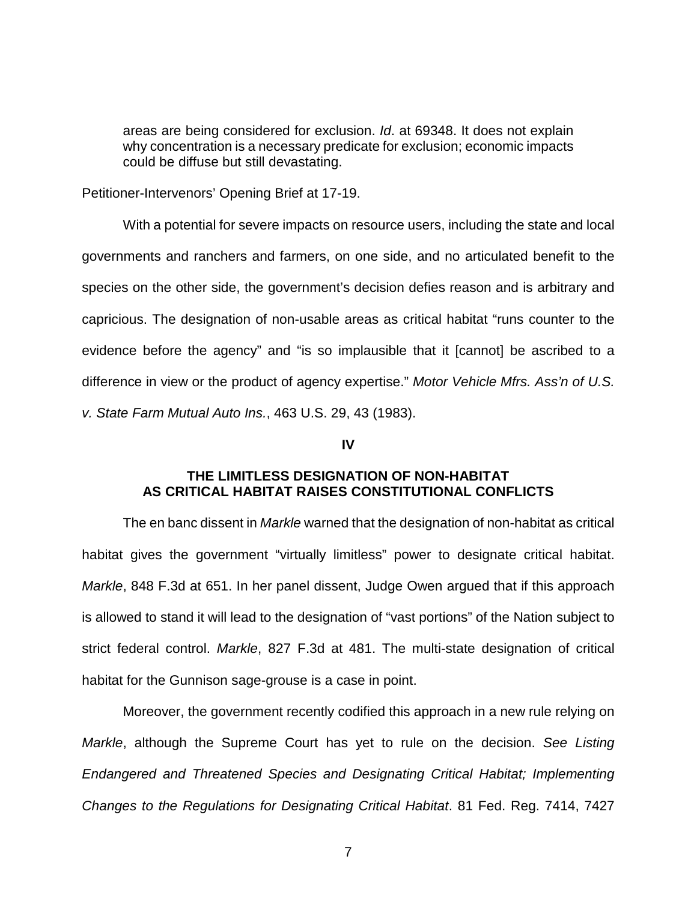areas are being considered for exclusion. *Id*. at 69348. It does not explain why concentration is a necessary predicate for exclusion; economic impacts could be diffuse but still devastating.

Petitioner-Intervenors' Opening Brief at 17-19.

With a potential for severe impacts on resource users, including the state and local governments and ranchers and farmers, on one side, and no articulated benefit to the species on the other side, the government's decision defies reason and is arbitrary and capricious. The designation of non-usable areas as critical habitat "runs counter to the evidence before the agency" and "is so implausible that it [cannot] be ascribed to a difference in view or the product of agency expertise." *Motor Vehicle Mfrs. Ass'n of U.S. v. State Farm Mutual Auto Ins.*, 463 U.S. 29, 43 (1983).

#### **IV**

### **THE LIMITLESS DESIGNATION OF NON-HABITAT AS CRITICAL HABITAT RAISES CONSTITUTIONAL CONFLICTS**

The en banc dissent in *Markle* warned that the designation of non-habitat as critical habitat gives the government "virtually limitless" power to designate critical habitat. *Markle*, 848 F.3d at 651. In her panel dissent, Judge Owen argued that if this approach is allowed to stand it will lead to the designation of "vast portions" of the Nation subject to strict federal control. *Markle*, 827 F.3d at 481. The multi-state designation of critical habitat for the Gunnison sage-grouse is a case in point.

Moreover, the government recently codified this approach in a new rule relying on *Markle*, although the Supreme Court has yet to rule on the decision. *See Listing Endangered and Threatened Species and Designating Critical Habitat; Implementing Changes to the Regulations for Designating Critical Habitat*. 81 Fed. Reg. 7414, 7427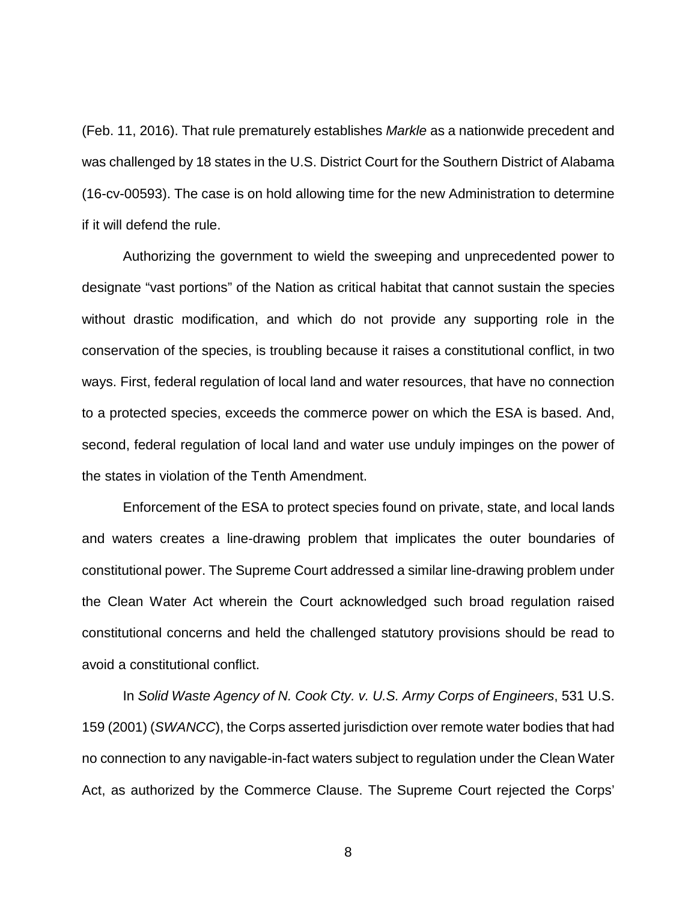(Feb. 11, 2016). That rule prematurely establishes *Markle* as a nationwide precedent and was challenged by 18 states in the U.S. District Court for the Southern District of Alabama (16-cv-00593). The case is on hold allowing time for the new Administration to determine if it will defend the rule.

Authorizing the government to wield the sweeping and unprecedented power to designate "vast portions" of the Nation as critical habitat that cannot sustain the species without drastic modification, and which do not provide any supporting role in the conservation of the species, is troubling because it raises a constitutional conflict, in two ways. First, federal regulation of local land and water resources, that have no connection to a protected species, exceeds the commerce power on which the ESA is based. And, second, federal regulation of local land and water use unduly impinges on the power of the states in violation of the Tenth Amendment.

Enforcement of the ESA to protect species found on private, state, and local lands and waters creates a line-drawing problem that implicates the outer boundaries of constitutional power. The Supreme Court addressed a similar line-drawing problem under the Clean Water Act wherein the Court acknowledged such broad regulation raised constitutional concerns and held the challenged statutory provisions should be read to avoid a constitutional conflict.

In *Solid Waste Agency of N. Cook Cty. v. U.S. Army Corps of Engineers*, 531 U.S. 159 (2001) (*SWANCC*), the Corps asserted jurisdiction over remote water bodies that had no connection to any navigable-in-fact waters subject to regulation under the Clean Water Act, as authorized by the Commerce Clause. The Supreme Court rejected the Corps'

8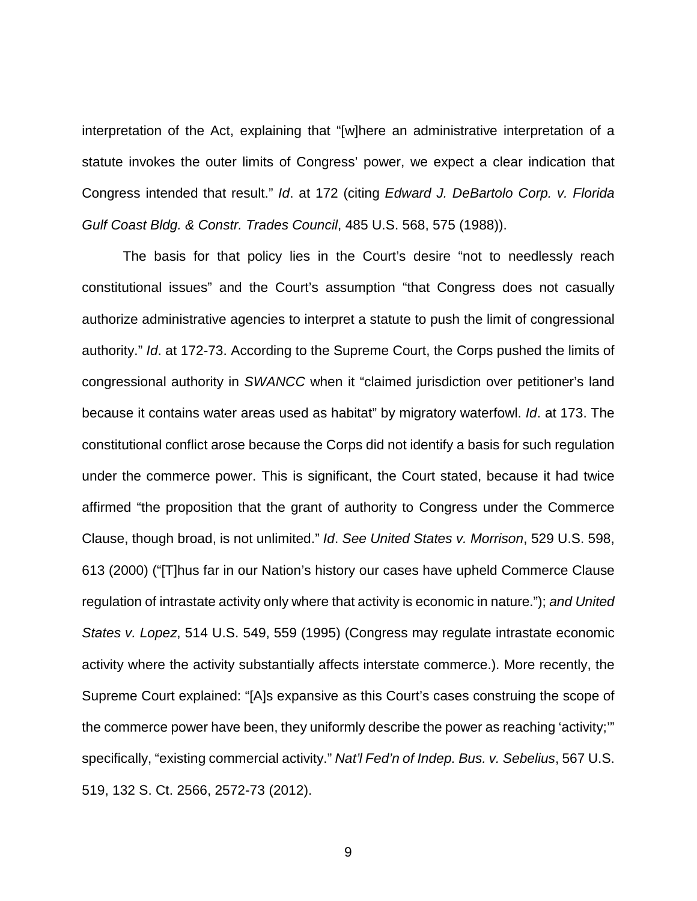interpretation of the Act, explaining that "[w]here an administrative interpretation of a statute invokes the outer limits of Congress' power, we expect a clear indication that Congress intended that result." *Id*. at 172 (citing *Edward J. DeBartolo Corp. v. Florida Gulf Coast Bldg. & Constr. Trades Council*, 485 U.S. 568, 575 (1988)).

The basis for that policy lies in the Court's desire "not to needlessly reach constitutional issues" and the Court's assumption "that Congress does not casually authorize administrative agencies to interpret a statute to push the limit of congressional authority." *Id*. at 172-73. According to the Supreme Court, the Corps pushed the limits of congressional authority in *SWANCC* when it "claimed jurisdiction over petitioner's land because it contains water areas used as habitat" by migratory waterfowl. *Id*. at 173. The constitutional conflict arose because the Corps did not identify a basis for such regulation under the commerce power. This is significant, the Court stated, because it had twice affirmed "the proposition that the grant of authority to Congress under the Commerce Clause, though broad, is not unlimited." *Id*. *See United States v. Morrison*, 529 U.S. 598, 613 (2000) ("[T]hus far in our Nation's history our cases have upheld Commerce Clause regulation of intrastate activity only where that activity is economic in nature."); *and United States v. Lopez*, 514 U.S. 549, 559 (1995) (Congress may regulate intrastate economic activity where the activity substantially affects interstate commerce.). More recently, the Supreme Court explained: "[A]s expansive as this Court's cases construing the scope of the commerce power have been, they uniformly describe the power as reaching 'activity;'" specifically, "existing commercial activity." *Nat'l Fed'n of Indep. Bus. v. Sebelius*, 567 U.S. 519, 132 S. Ct. 2566, 2572-73 (2012).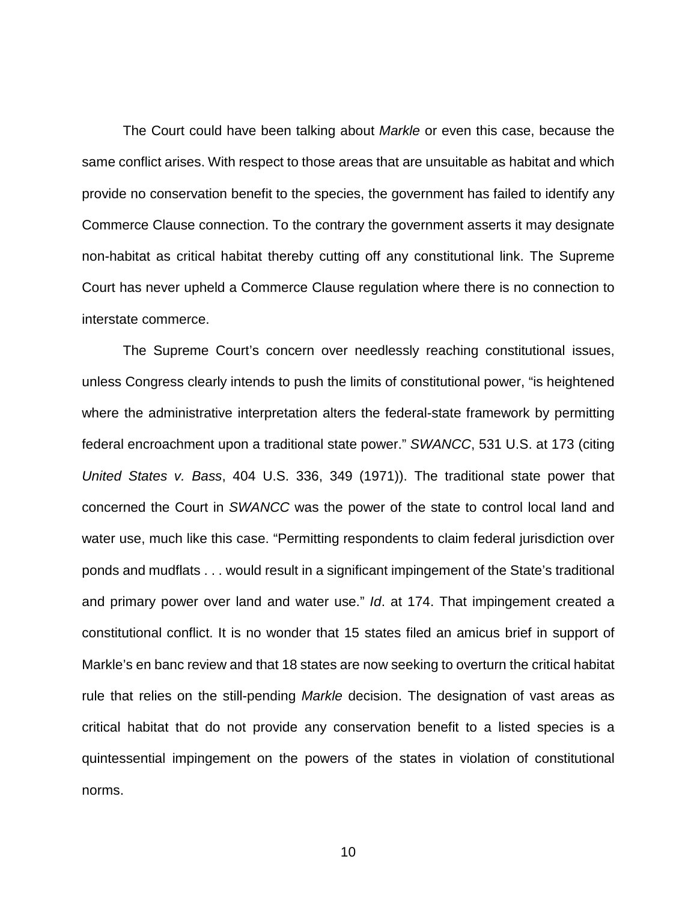The Court could have been talking about *Markle* or even this case, because the same conflict arises. With respect to those areas that are unsuitable as habitat and which provide no conservation benefit to the species, the government has failed to identify any Commerce Clause connection. To the contrary the government asserts it may designate non-habitat as critical habitat thereby cutting off any constitutional link. The Supreme Court has never upheld a Commerce Clause regulation where there is no connection to interstate commerce.

The Supreme Court's concern over needlessly reaching constitutional issues, unless Congress clearly intends to push the limits of constitutional power, "is heightened where the administrative interpretation alters the federal-state framework by permitting federal encroachment upon a traditional state power." *SWANCC*, 531 U.S. at 173 (citing *United States v. Bass*, 404 U.S. 336, 349 (1971)). The traditional state power that concerned the Court in *SWANCC* was the power of the state to control local land and water use, much like this case. "Permitting respondents to claim federal jurisdiction over ponds and mudflats . . . would result in a significant impingement of the State's traditional and primary power over land and water use." *Id*. at 174. That impingement created a constitutional conflict. It is no wonder that 15 states filed an amicus brief in support of Markle's en banc review and that 18 states are now seeking to overturn the critical habitat rule that relies on the still-pending *Markle* decision. The designation of vast areas as critical habitat that do not provide any conservation benefit to a listed species is a quintessential impingement on the powers of the states in violation of constitutional norms.

10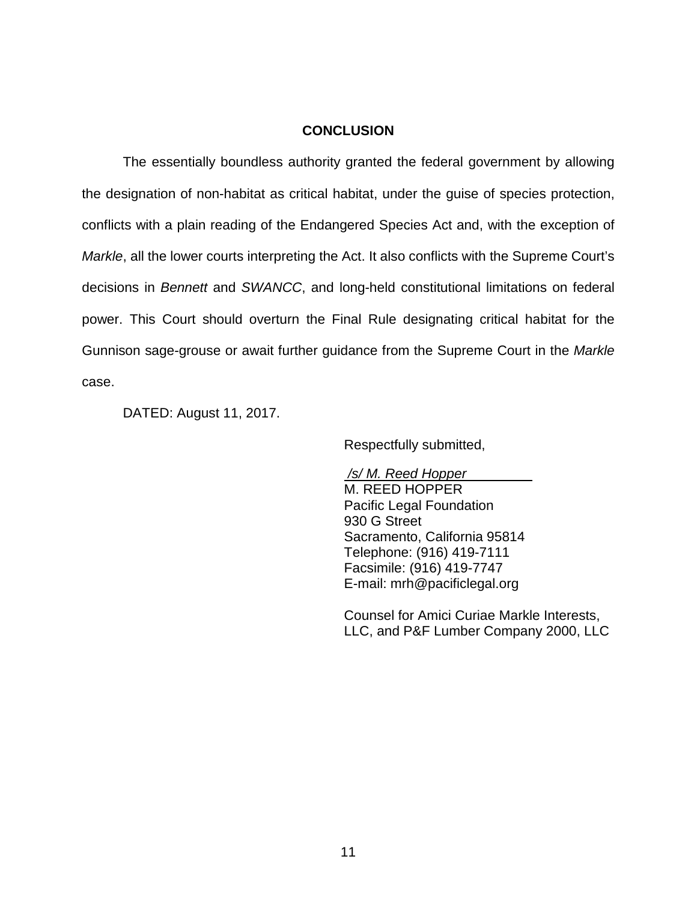#### **CONCLUSION**

The essentially boundless authority granted the federal government by allowing the designation of non-habitat as critical habitat, under the guise of species protection, conflicts with a plain reading of the Endangered Species Act and, with the exception of *Markle*, all the lower courts interpreting the Act. It also conflicts with the Supreme Court's decisions in *Bennett* and *SWANCC*, and long-held constitutional limitations on federal power. This Court should overturn the Final Rule designating critical habitat for the Gunnison sage-grouse or await further guidance from the Supreme Court in the *Markle* case.

DATED: August 11, 2017.

Respectfully submitted,

*/s/ M. Reed Hopper* M. REED HOPPER Pacific Legal Foundation 930 G Street Sacramento, California 95814 Telephone: (916) 419-7111 Facsimile: (916) 419-7747 E-mail: [mrh@pacificlegal.org](mailto:mrh@pacificlegal.org)

Counsel for Amici Curiae Markle Interests, LLC, and P&F Lumber Company 2000, LLC